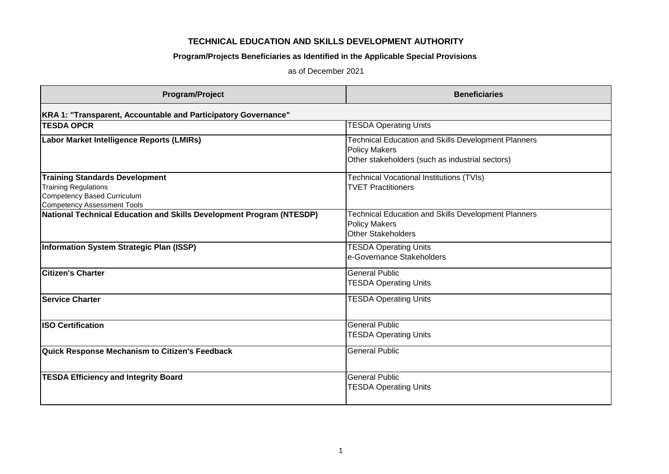## **TECHNICAL EDUCATION AND SKILLS DEVELOPMENT AUTHORITY**

## **Program/Projects Beneficiaries as Identified in the Applicable Special Provisions**

as of December 2021

| Program/Project                                                                                                                           | <b>Beneficiaries</b>                                                                                                                  |
|-------------------------------------------------------------------------------------------------------------------------------------------|---------------------------------------------------------------------------------------------------------------------------------------|
| KRA 1: "Transparent, Accountable and Participatory Governance"                                                                            |                                                                                                                                       |
| <b>TESDA OPCR</b>                                                                                                                         | <b>TESDA Operating Units</b>                                                                                                          |
| Labor Market Intelligence Reports (LMIRs)                                                                                                 | <b>Technical Education and Skills Development Planners</b><br><b>Policy Makers</b><br>Other stakeholders (such as industrial sectors) |
| <b>Training Standards Development</b><br><b>Training Regulations</b><br>Competency Based Curriculum<br><b>Competency Assessment Tools</b> | Technical Vocational Institutions (TVIs)<br><b>TVET Practitioners</b>                                                                 |
| National Technical Education and Skills Development Program (NTESDP)                                                                      | <b>Fechnical Education and Skills Development Planners</b><br><b>Policy Makers</b><br><b>Other Stakeholders</b>                       |
| Information System Strategic Plan (ISSP)                                                                                                  | <b>TESDA Operating Units</b><br>e-Governance Stakeholders                                                                             |
| <b>Citizen's Charter</b>                                                                                                                  | <b>General Public</b><br><b>TESDA Operating Units</b>                                                                                 |
| <b>Service Charter</b>                                                                                                                    | <b>TESDA Operating Units</b>                                                                                                          |
| <b>ISO Certification</b>                                                                                                                  | <b>General Public</b><br><b>TESDA Operating Units</b>                                                                                 |
| Quick Response Mechanism to Citizen's Feedback                                                                                            | <b>General Public</b>                                                                                                                 |
| <b>TESDA Efficiency and Integrity Board</b>                                                                                               | <b>General Public</b><br><b>TESDA Operating Units</b>                                                                                 |